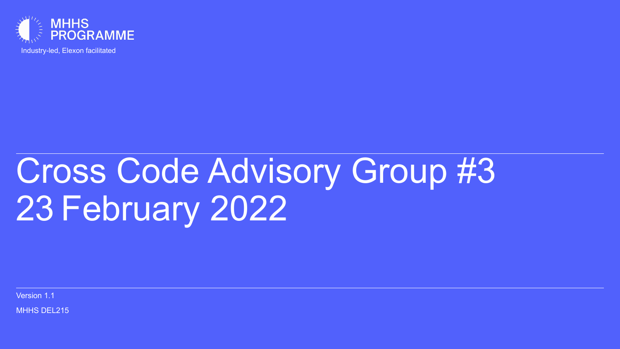

Industry-led, Elexon facilitated

## Cross Code Advisory Group #3 23 February 2022

Version 1.1

**MHHS DEL215**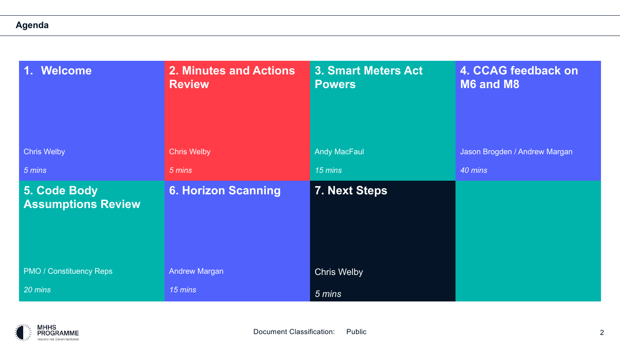#### **Agenda**

| <b>Welcome</b><br><b>SP</b>               | 2. Minutes and Actions<br><b>Review</b> | 3. Smart Meters Act<br><b>Powers</b> | 4. CCAG feedback on<br>M6 and M8 |
|-------------------------------------------|-----------------------------------------|--------------------------------------|----------------------------------|
| <b>Chris Welby</b>                        | <b>Chris Welby</b>                      | <b>Andy MacFaul</b>                  | Jason Brogden / Andrew Margan    |
| 5 mins                                    | 5 mins                                  | 15 mins                              | 40 mins                          |
| 5. Code Body<br><b>Assumptions Review</b> | <b>6. Horizon Scanning</b>              | 7. Next Steps                        |                                  |
| <b>PMO / Constituency Reps</b>            | <b>Andrew Margan</b>                    | <b>Chris Welby</b>                   |                                  |
| 20 mins                                   | 15 mins                                 | 5 mins                               |                                  |

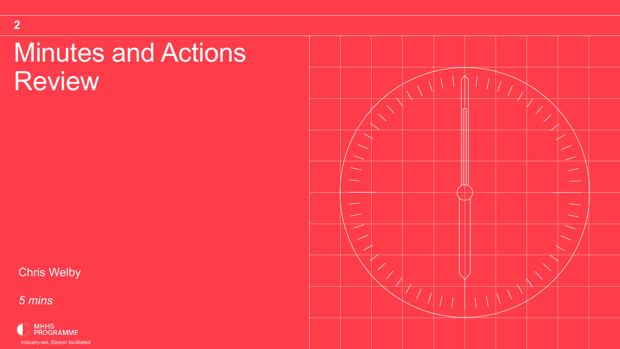## Minutes and Actions Review

Chris Welby

*5 mins*

**2**



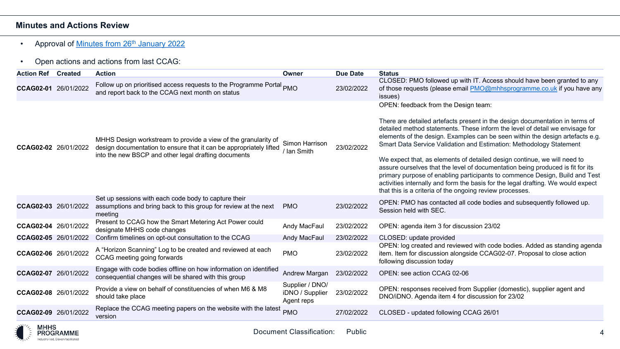#### **Minutes and Actions Review**

#### • Approval of Minutes from 26<sup>th</sup> January 2022

#### • Open actions and actions from last CCAG:

| <b>Action Ref</b>    | <b>Created</b> | <b>Action</b>                                                                                                                                                                                | Owner                                            | <b>Due Date</b> | <b>Statu</b>                                                                                      |
|----------------------|----------------|----------------------------------------------------------------------------------------------------------------------------------------------------------------------------------------------|--------------------------------------------------|-----------------|---------------------------------------------------------------------------------------------------|
| <b>CCAG02-01</b>     | 26/01/2022     | Follow up on prioritised access requests to the Programme Portal PMO<br>and report back to the CCAG next month on status                                                                     |                                                  | 23/02/2022      | <b>CLOS</b><br>of tho<br><i>issues</i>                                                            |
| CCAG02-02 26/01/2022 |                | MHHS Design workstream to provide a view of the granularity of<br>design documentation to ensure that it can be appropriately lifted<br>into the new BSCP and other legal drafting documents | Simon Harrison<br>/ Ian Smith                    | 23/02/2022      | <b>OPEN</b><br>There<br>detail<br>eleme<br>Smarl<br>We ex<br>assur<br>prima<br>activit<br>that th |
| CCAG02-03 26/01/2022 |                | Set up sessions with each code body to capture their<br>assumptions and bring back to this group for review at the next<br>meeting                                                           | <b>PMO</b>                                       | 23/02/2022      | <b>OPEN</b><br>Sessi                                                                              |
| <b>CCAG02-04</b>     | 26/01/2022     | Present to CCAG how the Smart Metering Act Power could<br>designate MHHS code changes                                                                                                        | Andy MacFaul                                     | 23/02/2022      | <b>OPEN</b>                                                                                       |
| CCAG02-05 26/01/2022 |                | Confirm timelines on opt-out consultation to the CCAG                                                                                                                                        | Andy MacFaul                                     | 23/02/2022      | <b>CLOS</b>                                                                                       |
| CCAG02-06 26/01/2022 |                | A "Horizon Scanning" Log to be created and reviewed at each<br>CCAG meeting going forwards                                                                                                   | <b>PMO</b>                                       | 23/02/2022      | <b>OPEN</b><br>item.<br>follow                                                                    |
| CCAG02-07 26/01/2022 |                | Engage with code bodies offline on how information on identified<br>consequential changes will be shared with this group                                                                     | Andrew Margan                                    | 23/02/2022      | <b>OPEN</b>                                                                                       |
| CCAG02-08 26/01/2022 |                | Provide a view on behalf of constituencies of when M6 & M8<br>should take place                                                                                                              | Supplier / DNO/<br>iDNO / Supplier<br>Agent reps | 23/02/2022      | <b>OPEN</b><br>DNO/                                                                               |
| <b>CCAG02-09</b>     | 26/01/2022     | Replace the CCAG meeting papers on the website with the latest<br>version                                                                                                                    | <b>PMO</b>                                       | 27/02/2022      | <b>CLOS</b>                                                                                       |

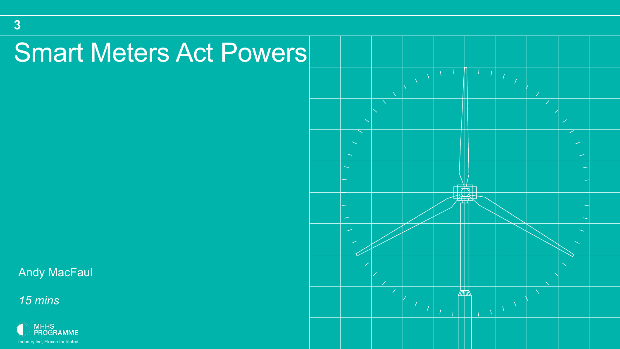## Smart Meters Act Powers

Andy MacFaul

*15 mins*

**3**



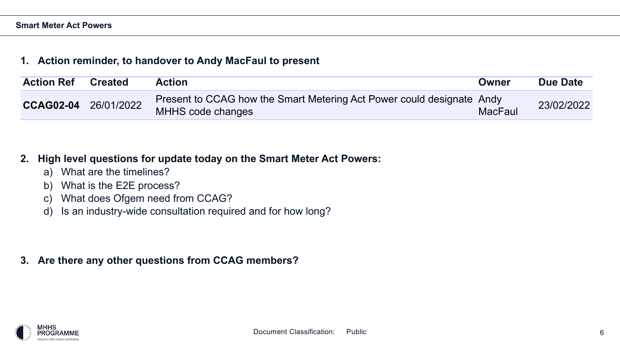#### **1. Action reminder, to handover to Andy MacFaul to present**

| <b>Action Ref</b> | <b>Created</b> | <b>Action</b>                                                                              | Owner          | Due Date   |
|-------------------|----------------|--------------------------------------------------------------------------------------------|----------------|------------|
| <b>CCAG02-04</b>  | 26/01/2022     | Present to CCAG how the Smart Metering Act Power could designate Andy<br>MHHS code changes | <b>MacFaul</b> | 23/02/2022 |

#### **2. High level questions for update today on the Smart Meter Act Powers:**

- a) What are the timelines?
- b) What is the E2E process?
- c) What does Ofgem need from CCAG?
- d) Is an industry-wide consultation required and for how long?

**3. Are there any other questions from CCAG members?**

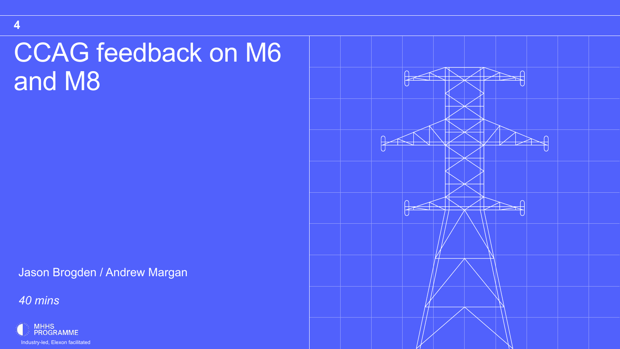## CCAG feedback on M6 and M8

Jason Brogden / Andrew Margan

*40 mins*



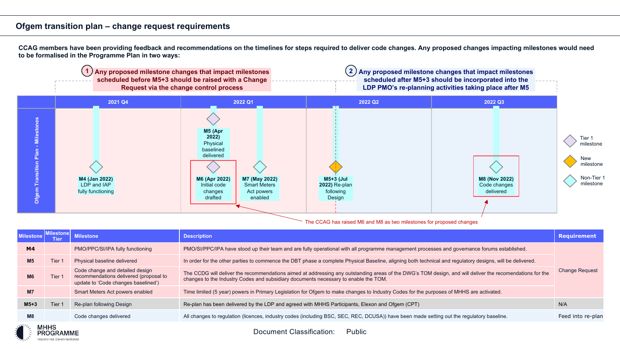**CCAG members have been providing feedback and recommendations on the timelines for steps required to deliver code changes. Any proposed changes impacting milestones would need to be formalised in the Programme Plan in two ways:**



The CCAG has raised M6 and M8 as two milestones for proposed changes

| <b>Milestone</b>                 |        | <b>Milestone</b>                                                                                                 | <b>Description</b>                                                                                                                                                                                                                              | <b>Requirement</b> |
|----------------------------------|--------|------------------------------------------------------------------------------------------------------------------|-------------------------------------------------------------------------------------------------------------------------------------------------------------------------------------------------------------------------------------------------|--------------------|
| M4                               |        | PMO/PPC/SI/IPA fully functioning                                                                                 | PMO/SI/PPC/IPA have stood up their team and are fully operational with all programme management processes and governance forums established.                                                                                                    |                    |
| M <sub>5</sub>                   | Tier : | Physical baseline delivered                                                                                      | In order for the other parties to commence the DBT phase a complete Physical Baseline, aligning both technical and regulatory designs, will be delivered.                                                                                       |                    |
| M6                               | Tier ' | Code change and detailed design<br>recommendations delivered (proposal to<br>update to 'Code changes baselined') | The CCDG will deliver the recommendations aimed at addressing any outstanding areas of the DWG's TOM design, and will deliver the recomendations for the<br>changes to the Industry Codes and subsidiary documents necessary to enable the TOM. |                    |
| M <sub>7</sub>                   |        | Smart Meters Act powers enabled                                                                                  | Time limited (5 year) powers in Primary Legislation for Ofgem to make changes to Industry Codes for the purposes of MHHS are activated.                                                                                                         |                    |
| $M5+3$                           | Tier 1 | Re-plan following Design                                                                                         | Re-plan has been delivered by the LDP and agreed with MHHS Participants, Elexon and Ofgem (CPT)                                                                                                                                                 | N/A                |
| M8                               |        | Code changes delivered                                                                                           | All changes to regulation (licences, industry codes (including BSC, SEC, REC, DCUSA)) have been made setting out the regulatory baseline.                                                                                                       | Feed into re-plan  |
| $\mathbf{u}$ <sup>1</sup> , MULC |        |                                                                                                                  |                                                                                                                                                                                                                                                 |                    |



Document Classification: Public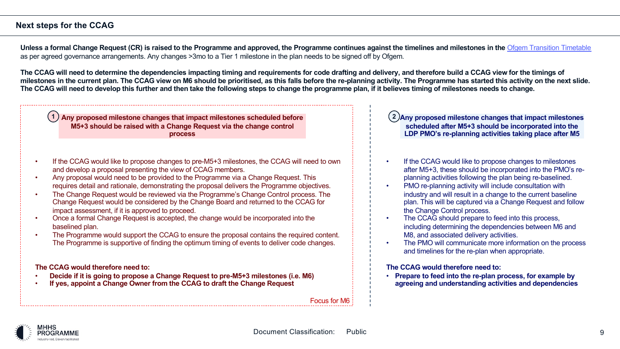#### **Next steps for the CCAG**

Unless a formal Change Request (CR) is raised to the Programme and approved, the Programme continues against t as per agreed governance arrangements. Any changes >3mo to a Tier 1 milestone in the plan needs to be signed off by Ofge

The CCAG will need to determine the dependencies impacting timing and requirements for code drafting and deliver milestones in the current plan. The CCAG view on M6 should be prioritised, as this falls before the re-planning activit The CCAG will need to develop this further and then take the following steps to change the programme plan, if it beli

| $\left( 1\right)$ Any proposed milestone changes that impact milestones scheduled before<br>M5+3 should be raised with a Change Request via the change control<br><b>process</b>                                                                                                                                                                                                                                                                                                                                                                                                                                                                                                                                                                                                                                                                                                            |  |
|---------------------------------------------------------------------------------------------------------------------------------------------------------------------------------------------------------------------------------------------------------------------------------------------------------------------------------------------------------------------------------------------------------------------------------------------------------------------------------------------------------------------------------------------------------------------------------------------------------------------------------------------------------------------------------------------------------------------------------------------------------------------------------------------------------------------------------------------------------------------------------------------|--|
| If the CCAG would like to propose changes to pre-M5+3 milestones, the CCAG will need to own<br>and develop a proposal presenting the view of CCAG members.<br>Any proposal would need to be provided to the Programme via a Change Request. This<br>requires detail and rationale, demonstrating the proposal delivers the Programme objectives.<br>The Change Request would be reviewed via the Programme's Change Control process. The<br>Change Request would be considered by the Change Board and returned to the CCAG for<br>impact assessment, if it is approved to proceed.<br>Once a formal Change Request is accepted, the change would be incorporated into the<br>baselined plan.<br>The Programme would support the CCAG to ensure the proposal contains the required content.<br>The Programme is supportive of finding the optimum timing of events to deliver code changes. |  |
| The CCAG would therefore need to:<br>Decide if it is going to propose a Change Request to pre-M5+3 milestones (i.e. M6)<br>If yes, appoint a Change Owner from the CCAG to draft the Change Request                                                                                                                                                                                                                                                                                                                                                                                                                                                                                                                                                                                                                                                                                         |  |
| Focus for                                                                                                                                                                                                                                                                                                                                                                                                                                                                                                                                                                                                                                                                                                                                                                                                                                                                                   |  |

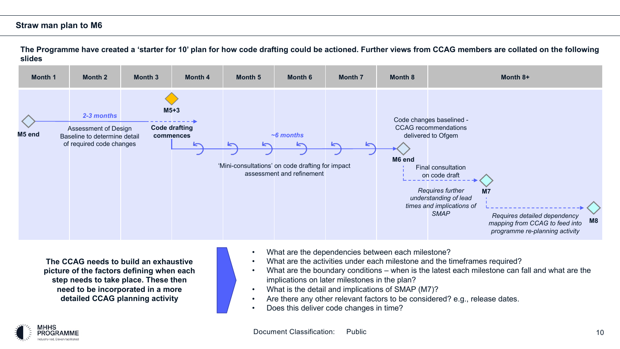#### **Straw man plan to M6**

**The Programme have created a 'starter for 10' plan for how code drafting could be actioned. Further views from CCAG members are collated on the following slides**



**The CCAG needs to build an exhaustive picture of the factors defining when each step needs to take place. These then need to be incorporated in a more detailed CCAG planning activity**

- What are the dependencies between each milestone?
- What are the activities under each milestone and the timeframes required?
- What are the boundary conditions when is the latest each milestone can fall and what are the implications on later milestones in the plan?
- What is the detail and implications of SMAP (M7)?
- Are there any other relevant factors to be considered? e.g., release dates.
- Does this deliver code changes in time?

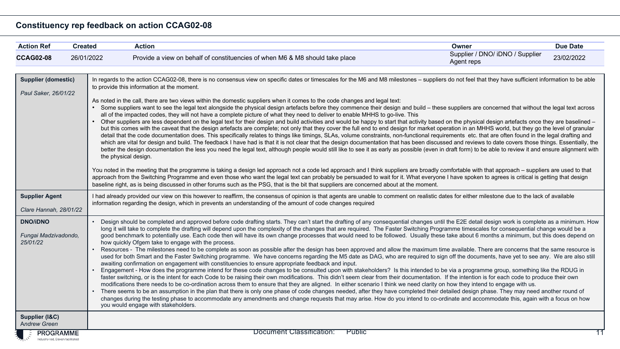#### **Constituency rep feedback on action CCAG02-08**

| <b>Action Ref</b>                                   | <b>Created</b>                                                                                                                                                                                                                                                                                                                                                    | <b>Action</b>                                                                                                                                                                                                                                                                                                                                                                                                                                                                                                                                                                                                                                                                                                                                                                                                                                                                                                                                                                                                                                                                                                                                                                                                                                                                                                                                                                                                                                                                                                                                                                                                                                                                                                                                                                                                                                                                                                                                                                                                                                                                                                                                                                                                                                                                                                                                   | Owner                                         | <b>Due Date</b> |  |  |
|-----------------------------------------------------|-------------------------------------------------------------------------------------------------------------------------------------------------------------------------------------------------------------------------------------------------------------------------------------------------------------------------------------------------------------------|-------------------------------------------------------------------------------------------------------------------------------------------------------------------------------------------------------------------------------------------------------------------------------------------------------------------------------------------------------------------------------------------------------------------------------------------------------------------------------------------------------------------------------------------------------------------------------------------------------------------------------------------------------------------------------------------------------------------------------------------------------------------------------------------------------------------------------------------------------------------------------------------------------------------------------------------------------------------------------------------------------------------------------------------------------------------------------------------------------------------------------------------------------------------------------------------------------------------------------------------------------------------------------------------------------------------------------------------------------------------------------------------------------------------------------------------------------------------------------------------------------------------------------------------------------------------------------------------------------------------------------------------------------------------------------------------------------------------------------------------------------------------------------------------------------------------------------------------------------------------------------------------------------------------------------------------------------------------------------------------------------------------------------------------------------------------------------------------------------------------------------------------------------------------------------------------------------------------------------------------------------------------------------------------------------------------------------------------------|-----------------------------------------------|-----------------|--|--|
| <b>CCAG02-08</b>                                    | 26/01/2022                                                                                                                                                                                                                                                                                                                                                        | Provide a view on behalf of constituencies of when M6 & M8 should take place                                                                                                                                                                                                                                                                                                                                                                                                                                                                                                                                                                                                                                                                                                                                                                                                                                                                                                                                                                                                                                                                                                                                                                                                                                                                                                                                                                                                                                                                                                                                                                                                                                                                                                                                                                                                                                                                                                                                                                                                                                                                                                                                                                                                                                                                    | Supplier / DNO/ iDNO / Supplier<br>Agent reps | 23/02/2022      |  |  |
| <b>Supplier (domestic)</b><br>Paul Saker, 26/01/22  |                                                                                                                                                                                                                                                                                                                                                                   | In regards to the action CCAG02-08, there is no consensus view on specific dates or timescales for the M6 and M8 milestones - suppliers do not feel that they have sufficient information to be able<br>to provide this information at the moment.<br>As noted in the call, there are two views within the domestic suppliers when it comes to the code changes and legal text:<br>Some suppliers want to see the legal text alongside the physical design artefacts before they commence their design and build - these suppliers are concerned that without the legal text across<br>all of the impacted codes, they will not have a complete picture of what they need to deliver to enable MHHS to go-live. This<br>• Other suppliers are less dependent on the legal text for their design and build activities and would be happy to start that activity based on the physical design artefacts once they are baselined -<br>but this comes with the caveat that the design artefacts are complete; not only that they cover the full end to end design for market operation in an MHHS world, but they go the level of granular<br>detail that the code documentation does. This specifically relates to things like timings, SLAs, volume constraints, non-functional requirements etc. that are often found in the legal drafting and<br>which are vital for design and build. The feedback I have had is that it is not clear that the design documentation that has been discussed and reviews to date covers those things. Essentially, the<br>better the design documentation the less you need the legal text, although people would still like to see it as early as possible (even in draft form) to be able to review it and ensure alignment with<br>the physical design.<br>You noted in the meeting that the programme is taking a design led approach not a code led approach and I think suppliers are broadly comfortable with that approach – suppliers are used to that<br>approach from the Switching Programme and even those who want the legal text can probably be persuaded to wait for it. What everyone I have spoken to agrees is critical is getting that design<br>baseline right, as is being discussed in other forums such as the PSG, that is the bit that suppliers are concerned about at the moment. |                                               |                 |  |  |
|                                                     | <b>Supplier Agent</b><br>I had already provided our view on this however to reaffirm, the consensus of opinion is that agents are unable to comment on realistic dates for either milestone due to the lack of available<br>information regarding the design, which in prevents an understanding of the amount of code changes required<br>Clare Hannah, 28/01/22 |                                                                                                                                                                                                                                                                                                                                                                                                                                                                                                                                                                                                                                                                                                                                                                                                                                                                                                                                                                                                                                                                                                                                                                                                                                                                                                                                                                                                                                                                                                                                                                                                                                                                                                                                                                                                                                                                                                                                                                                                                                                                                                                                                                                                                                                                                                                                                 |                                               |                 |  |  |
| <b>DNO/iDNO</b><br>Fungai Madzivadondo,<br>25/01/22 |                                                                                                                                                                                                                                                                                                                                                                   | Design should be completed and approved before code drafting starts. They can't start the drafting of any consequential changes until the E2E detail design work is complete as a minimum. How<br>long it will take to complete the drafting will depend upon the complexity of the changes that are required. The Faster Switching Programme timescales for consequential change would be a<br>good benchmark to potentially use. Each code then will have its own change processes that would need to be followed. Usually these take about 6 months a minimum, but this does depend on<br>how quickly Ofgem take to engage with the process.<br>Resources - The milestones need to be complete as soon as possible after the design has been approved and allow the maximum time available. There are concerns that the same resource is<br>used for both Smart and the Faster Switching programme. We have concerns regarding the M5 date as DAG, who are required to sign off the documents, have yet to see any. We are also still<br>awaiting confirmation on engagement with constituencies to ensure appropriate feedback and input.<br>Engagement - How does the programme intend for these code changes to be consulted upon with stakeholders? Is this intended to be via a programme group, something like the RDUG in<br>faster switching, or is the intent for each Code to be raising their own modifications. This didn't seem clear from their documentation. If the intention is for each code to produce their own<br>modifications there needs to be co-ordination across them to ensure that they are aligned. In either scenario I think we need clarity on how they intend to engage with us.<br>• There seems to be an assumption in the plan that there is only one phase of code changes needed, after they have completed their detailed design phase. They may need another round of<br>changes during the testing phase to accommodate any amendments and change requests that may arise. How do you intend to co-ordinate and accommodate this, again with a focus on how<br>you would engage with stakeholders.                                                                                                                                                                                                 |                                               |                 |  |  |
| Supplier (I&C)<br><b>Andrew Green</b>               |                                                                                                                                                                                                                                                                                                                                                                   |                                                                                                                                                                                                                                                                                                                                                                                                                                                                                                                                                                                                                                                                                                                                                                                                                                                                                                                                                                                                                                                                                                                                                                                                                                                                                                                                                                                                                                                                                                                                                                                                                                                                                                                                                                                                                                                                                                                                                                                                                                                                                                                                                                                                                                                                                                                                                 |                                               |                 |  |  |
| <b>E PROGRAMME</b>                                  |                                                                                                                                                                                                                                                                                                                                                                   | Document Classification:<br>Public                                                                                                                                                                                                                                                                                                                                                                                                                                                                                                                                                                                                                                                                                                                                                                                                                                                                                                                                                                                                                                                                                                                                                                                                                                                                                                                                                                                                                                                                                                                                                                                                                                                                                                                                                                                                                                                                                                                                                                                                                                                                                                                                                                                                                                                                                                              |                                               | $\overline{11}$ |  |  |

Industry-led, Elexon facilitated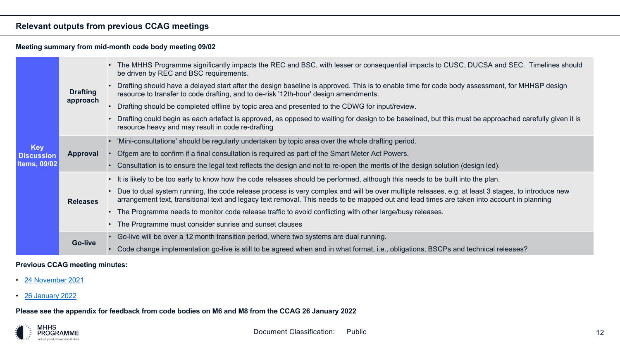#### **Relevant outputs from previous CCAG meetings**

#### **Meeting summary from mid-month code body meeting 09/02**

|                                 |                 | • The MHHS Programme significantly impacts the REC and BSC, with lesser or conseque<br>be driven by REC and BSC requirements.                                                       |
|---------------------------------|-----------------|-------------------------------------------------------------------------------------------------------------------------------------------------------------------------------------|
|                                 | <b>Drafting</b> | Drafting should have a delayed start after the design baseline is approved. This is to ena<br>resource to transfer to code drafting, and to de-risk '12th-hour' design amendments.  |
|                                 | approach        | Drafting should be completed offline by topic area and presented to the CDWG for input/r                                                                                            |
|                                 |                 | Drafting could begin as each artefact is approved, as opposed to waiting for design to be<br>resource heavy and may result in code re-drafting                                      |
|                                 | <b>Approval</b> | 'Mini-consultations' should be regularly undertaken by topic area over the whole drafting                                                                                           |
| <b>Key</b><br><b>Discussion</b> |                 | Ofgem are to confirm if a final consultation is required as part of the Smart Meter Act Pow                                                                                         |
| Items, $09/02$                  |                 | Consultation is to ensure the legal text reflects the design and not to re-open the merits o                                                                                        |
|                                 |                 | • It is likely to be too early to know how the code releases should be performed, although t                                                                                        |
|                                 | <b>Releases</b> | Due to dual system running, the code release process is very complex and will be over m<br>arrangement text, transitional text and legacy text removal. This needs to be mapped out |
|                                 |                 | • The Programme needs to monitor code release traffic to avoid conflicting with other large                                                                                         |
|                                 |                 | The Programme must consider sunrise and sunset clauses                                                                                                                              |
|                                 |                 | Go-live will be over a 12 month transition period, where two systems are dual running.                                                                                              |
|                                 | <b>Go-live</b>  | Code change implementation go-live is still to be agreed when and in what format, i.e., of                                                                                          |

#### **Previous CCAG meeting minutes:**

- 24 November 2021
- 26 January 2022

**Please see the appendix for feedback from code bodies on M6 and M8 from the CCAG 26 January 2022**

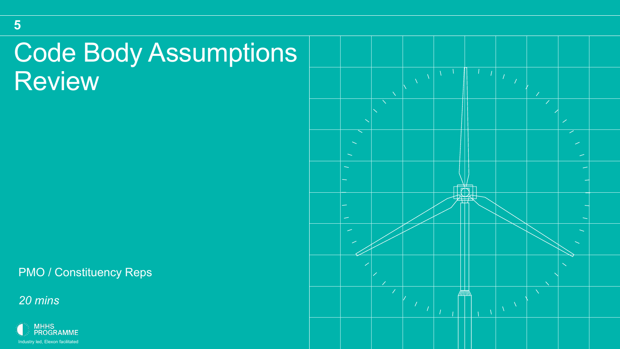## Code Body Assumptions **Review**

PMO / Constituency Reps

*20 mins*

**5**



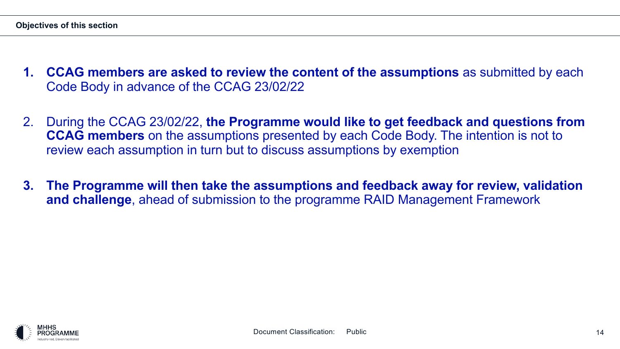- **1. CCAG members are asked to review the content of the assumptions** as submitted by each Code Body in advance of the CCAG 23/02/22
- 2. During the CCAG 23/02/22, **the Programme would like to get feedback and questions from CCAG members** on the assumptions presented by each Code Body. The intention is not to review each assumption in turn but to discuss assumptions by exemption
- **3. The Programme will then take the assumptions and feedback away for review, validation and challenge**, ahead of submission to the programme RAID Management Framework

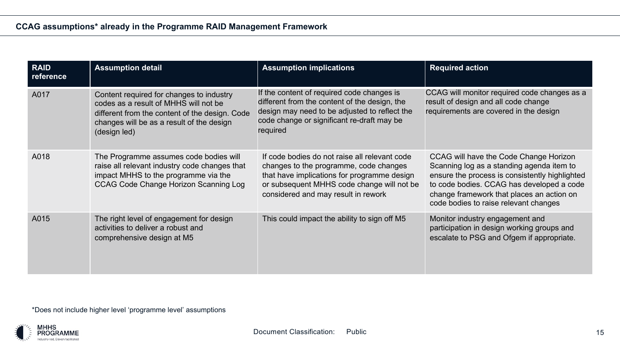| <b>RAID</b><br>reference | <b>Assumption detail</b>                                                                                                                                                                         | <b>Assumption implications</b>                                                                                                                                                                                              | <b>Required action</b>                                                                                                                                                                                                                                                   |
|--------------------------|--------------------------------------------------------------------------------------------------------------------------------------------------------------------------------------------------|-----------------------------------------------------------------------------------------------------------------------------------------------------------------------------------------------------------------------------|--------------------------------------------------------------------------------------------------------------------------------------------------------------------------------------------------------------------------------------------------------------------------|
| A017                     | Content required for changes to industry<br>codes as a result of MHHS will not be<br>different from the content of the design. Code<br>changes will be as a result of the design<br>(design led) | If the content of required code changes is<br>different from the content of the design, the<br>design may need to be adjusted to reflect the<br>code change or significant re-draft may be<br>required                      | CCAG will monitor required code changes as a<br>result of design and all code change<br>requirements are covered in the design                                                                                                                                           |
| A018                     | The Programme assumes code bodies will<br>raise all relevant industry code changes that<br>impact MHHS to the programme via the<br><b>CCAG Code Change Horizon Scanning Log</b>                  | If code bodies do not raise all relevant code<br>changes to the programme, code changes<br>that have implications for programme design<br>or subsequent MHHS code change will not be<br>considered and may result in rework | CCAG will have the Code Change Horizon<br>Scanning log as a standing agenda item to<br>ensure the process is consistently highlighted<br>to code bodies. CCAG has developed a code<br>change framework that places an action on<br>code bodies to raise relevant changes |
| A015                     | The right level of engagement for design<br>activities to deliver a robust and<br>comprehensive design at M5                                                                                     | This could impact the ability to sign off M5                                                                                                                                                                                | Monitor industry engagement and<br>participation in design working groups and<br>escalate to PSG and Ofgem if appropriate.                                                                                                                                               |

\*Does not include higher level 'programme level' assumptions

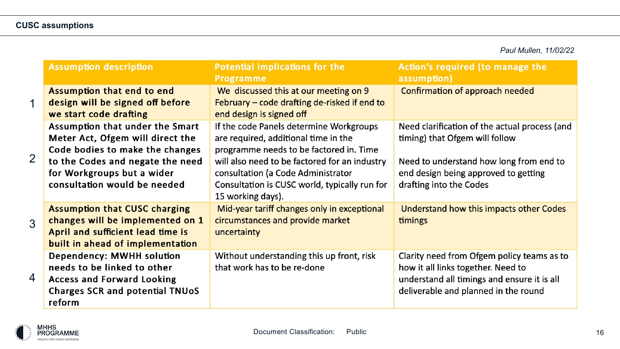*Paul Mullen, 11/02/22*

|                | <b>Assumption description</b>                                                                                                                                                                            | Potential implications for the<br><b>Programme</b>                                                                                                                                                                                                                                      | Action's required (to manage the<br>assumption)                                                                                                                                               |
|----------------|----------------------------------------------------------------------------------------------------------------------------------------------------------------------------------------------------------|-----------------------------------------------------------------------------------------------------------------------------------------------------------------------------------------------------------------------------------------------------------------------------------------|-----------------------------------------------------------------------------------------------------------------------------------------------------------------------------------------------|
| 1              | Assumption that end to end<br>design will be signed off before<br>we start code drafting                                                                                                                 | We discussed this at our meeting on 9<br>February – code drafting de-risked if end to<br>end design is signed off                                                                                                                                                                       | Confirmation of approach needed                                                                                                                                                               |
| $\overline{2}$ | Assumption that under the Smart<br>Meter Act, Ofgem will direct the<br>Code bodies to make the changes<br>to the Codes and negate the need<br>for Workgroups but a wider<br>consultation would be needed | If the code Panels determine Workgroups<br>are required, additional time in the<br>programme needs to be factored in. Time<br>will also need to be factored for an industry<br>consultation (a Code Administrator<br>Consultation is CUSC world, typically run for<br>15 working days). | Need clarification of the actual process (and<br>timing) that Ofgem will follow<br>Need to understand how long from end to<br>end design being approved to getting<br>drafting into the Codes |
| 3              | <b>Assumption that CUSC charging</b><br>changes will be implemented on 1<br>April and sufficient lead time is<br>built in ahead of implementation                                                        | Mid-year tariff changes only in exceptional<br>circumstances and provide market<br>uncertainty                                                                                                                                                                                          | Understand how this impacts other Codes<br>timings                                                                                                                                            |
| 4              | <b>Dependency: MWHH solution</b><br>needs to be linked to other<br><b>Access and Forward Looking</b><br><b>Charges SCR and potential TNUoS</b><br>reform                                                 | Without understanding this up front, risk<br>that work has to be re-done                                                                                                                                                                                                                | Clarity need from Ofgem policy teams as to<br>how it all links together. Need to<br>understand all timings and ensure it is all<br>deliverable and planned in the round                       |

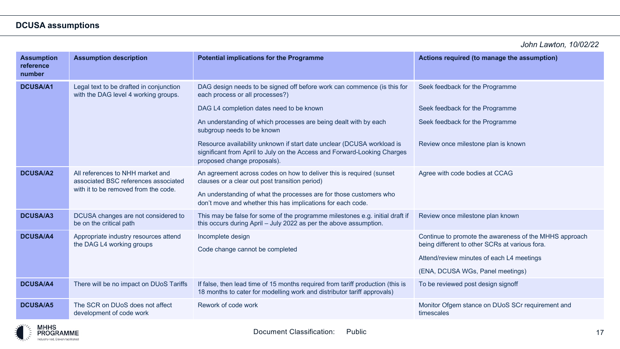#### **DCUSA assumptions**

*John Lawton, 10/02/22*

| <b>Assumption</b><br>reference<br>number | <b>Assumption description</b>                                                                                    | <b>Potential implications for the Programme</b>                                                                                                                                                                                                                                                                                                                                                                                               | Actions required (to manage the assumption)                                                                                                                                               |
|------------------------------------------|------------------------------------------------------------------------------------------------------------------|-----------------------------------------------------------------------------------------------------------------------------------------------------------------------------------------------------------------------------------------------------------------------------------------------------------------------------------------------------------------------------------------------------------------------------------------------|-------------------------------------------------------------------------------------------------------------------------------------------------------------------------------------------|
| <b>DCUSA/A1</b>                          | Legal text to be drafted in conjunction<br>with the DAG level 4 working groups.                                  | DAG design needs to be signed off before work can commence (is this for<br>each process or all processes?)<br>DAG L4 completion dates need to be known<br>An understanding of which processes are being dealt with by each<br>subgroup needs to be known<br>Resource availability unknown if start date unclear (DCUSA workload is<br>significant from April to July on the Access and Forward-Looking Charges<br>proposed change proposals). | Seek feedback for the Programme<br>Seek feedback for the Programme<br>Seek feedback for the Programme<br>Review once milestone plan is known                                              |
| <b>DCUSA/A2</b>                          | All references to NHH market and<br>associated BSC references associated<br>with it to be removed from the code. | An agreement across codes on how to deliver this is required (sunset<br>clauses or a clear out post transition period)<br>An understanding of what the processes are for those customers who<br>don't move and whether this has implications for each code.                                                                                                                                                                                   | Agree with code bodies at CCAG                                                                                                                                                            |
| <b>DCUSA/A3</b>                          | DCUSA changes are not considered to<br>be on the critical path                                                   | This may be false for some of the programme milestones e.g. initial draft if<br>this occurs during April - July 2022 as per the above assumption.                                                                                                                                                                                                                                                                                             | Review once milestone plan known                                                                                                                                                          |
| <b>DCUSA/A4</b>                          | Appropriate industry resources attend<br>the DAG L4 working groups                                               | Incomplete design<br>Code change cannot be completed                                                                                                                                                                                                                                                                                                                                                                                          | Continue to promote the awareness of the MHHS approach<br>being different to other SCRs at various fora.<br>Attend/review minutes of each L4 meetings<br>(ENA, DCUSA WGs, Panel meetings) |
| <b>DCUSA/A4</b>                          | There will be no impact on DUoS Tariffs                                                                          | If false, then lead time of 15 months required from tariff production (this is<br>18 months to cater for modelling work and distributor tariff approvals)                                                                                                                                                                                                                                                                                     | To be reviewed post design signoff                                                                                                                                                        |
| <b>DCUSA/A5</b>                          | The SCR on DUoS does not affect<br>development of code work                                                      | Rework of code work                                                                                                                                                                                                                                                                                                                                                                                                                           | Monitor Ofgem stance on DUoS SCr requirement and<br>timescales                                                                                                                            |

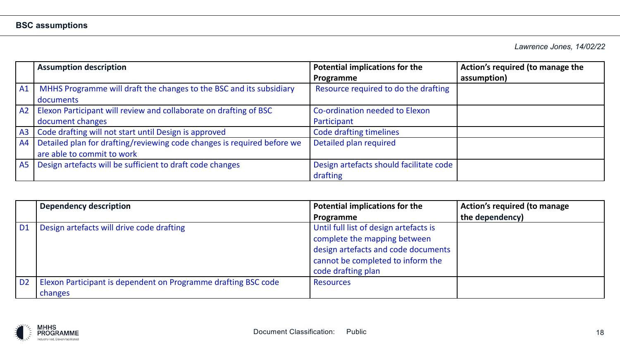*Lawrence Jones, 14/02/22*

|           | <b>Assumption description</b>                                           | <b>Potential implications for the</b>   | Action's required (to manage the |
|-----------|-------------------------------------------------------------------------|-----------------------------------------|----------------------------------|
|           |                                                                         | Programme                               | assumption)                      |
| A1        | MHHS Programme will draft the changes to the BSC and its subsidiary     | Resource required to do the drafting    |                                  |
|           | documents                                                               |                                         |                                  |
| A2        | Elexon Participant will review and collaborate on drafting of BSC       | Co-ordination needed to Elexon          |                                  |
|           | document changes                                                        | Participant                             |                                  |
| A3        | Code drafting will not start until Design is approved                   | Code drafting timelines                 |                                  |
| A4        | Detailed plan for drafting/reviewing code changes is required before we | Detailed plan required                  |                                  |
|           | are able to commit to work                                              |                                         |                                  |
| <b>A5</b> | Design artefacts will be sufficient to draft code changes               | Design artefacts should facilitate code |                                  |
|           |                                                                         | drafting                                |                                  |

|                | <b>Dependency description</b>                                  | <b>Potential implications for the</b>  | <b>Action's required (to manage</b> |
|----------------|----------------------------------------------------------------|----------------------------------------|-------------------------------------|
|                |                                                                | Programme                              | the dependency)                     |
| D <sub>1</sub> | Design artefacts will drive code drafting                      | Until full list of design artefacts is |                                     |
|                |                                                                | complete the mapping between           |                                     |
|                |                                                                | design artefacts and code documents    |                                     |
|                |                                                                | cannot be completed to inform the      |                                     |
|                |                                                                | code drafting plan                     |                                     |
| D <sub>2</sub> | Elexon Participant is dependent on Programme drafting BSC code | <b>Resources</b>                       |                                     |
|                | changes                                                        |                                        |                                     |

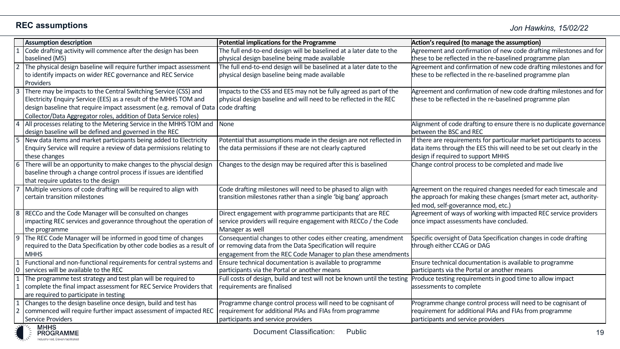|                | <b>Assumption description</b>                                                                                                             | Potential implications for the Programme                                                                             | Action's required (to manage the assumption)                                                                                   |
|----------------|-------------------------------------------------------------------------------------------------------------------------------------------|----------------------------------------------------------------------------------------------------------------------|--------------------------------------------------------------------------------------------------------------------------------|
|                | Code drafting activity will commence after the design has been                                                                            | The full end-to-end design will be baselined at a later date to the                                                  | Agreement and confirmation of new code drafting milestones and for                                                             |
| $\overline{2}$ | baselined (M5)<br>The physical design baseline will require further impact assessment                                                     | physical design baseline being made available<br>The full end-to-end design will be baselined at a later date to the | these to be reflected in the re-baselined programme plan<br>Agreement and confirmation of new code drafting milestones and for |
|                | to identify impacts on wider REC governance and REC Service                                                                               | physical design baseline being made available                                                                        | these to be reflected in the re-baselined programme plan                                                                       |
|                | Providers                                                                                                                                 |                                                                                                                      |                                                                                                                                |
| $\overline{3}$ | There may be impacts to the Central Switching Service (CSS) and                                                                           | Impacts to the CSS and EES may not be fully agreed as part of the                                                    | Agreement and confirmation of new code drafting milestones and for                                                             |
|                | Electricity Enquiry Service (EES) as a result of the MHHS TOM and                                                                         | physical design baseline and will need to be reflected in the REC                                                    | these to be reflected in the re-baselined programme plan                                                                       |
|                | design baseline that require impact assessment (e.g. removal of Data   code drafting                                                      |                                                                                                                      |                                                                                                                                |
|                | Collector/Data Aggregator roles, addition of Data Service roles)                                                                          |                                                                                                                      |                                                                                                                                |
| $\overline{4}$ | All processes relating to the Metering Service in the MHHS TOM and                                                                        | None                                                                                                                 | Alignment of code drafting to ensure there is no duplicate governance                                                          |
|                | design baseline will be defined and governed in the REC                                                                                   |                                                                                                                      | between the BSC and REC                                                                                                        |
| $\overline{5}$ | New data items and market participants being added to Electricity                                                                         | Potential that assumptions made in the design are not reflected in                                                   | If there are requirements for particular market participants to access                                                         |
|                | Enquiry Service will require a review of data permissions relating to                                                                     | the data permissions if these are not clearly captured                                                               | data items through the EES this will need to be set out clearly in the                                                         |
|                | these changes                                                                                                                             |                                                                                                                      | design if required to support MHHS                                                                                             |
| 6              | There will be an opportunity to make changes to the physcial design<br>baseline through a change control process if issues are identified | Changes to the design may be required after this is baselined                                                        | Change control process to be completed and made live                                                                           |
|                | that require updates to the design                                                                                                        |                                                                                                                      |                                                                                                                                |
|                | Multiple versions of code drafting will be required to align with                                                                         | Code drafting milestones will need to be phased to align with                                                        | Agreement on the required changes needed for each timescale and                                                                |
|                | certain transition milestones                                                                                                             | transition milestones rather than a single 'big bang' approach                                                       | the approach for making these changes (smart meter act, authority-                                                             |
|                |                                                                                                                                           |                                                                                                                      | led mod, self-goverannce mod, etc.)                                                                                            |
| 8              | RECCo and the Code Manager will be consulted on changes                                                                                   | Direct engagement with programme participants that are REC                                                           | Agreement of ways of working with impacted REC service providers                                                               |
|                | impacting REC services and goverannce throughout the operation of                                                                         | service providers will require engagement with RECCo / the Code                                                      | once impact assessments have concluded.                                                                                        |
|                | the programme                                                                                                                             | Manager as well                                                                                                      |                                                                                                                                |
| 9              | The REC Code Manager will be informed in good time of changes                                                                             | Consequential changes to other codes either creating, amendment                                                      | Specific oversight of Data Specification changes in code drafting                                                              |
|                | required to the Data Specification by other code bodies as a result of                                                                    | or removing data from the Data Specification will require                                                            | through either CCAG or DAG                                                                                                     |
|                | <b>MHHS</b>                                                                                                                               | engagement from the REC Code Manager to plan these amendments                                                        |                                                                                                                                |
|                | Functional and non-functional requirements for central systems and                                                                        | Ensure technical documentation is available to programme                                                             | Ensure technical documentation is available to programme                                                                       |
| 10             | services will be available to the REC                                                                                                     | participants via the Portal or another means                                                                         | participants via the Portal or another means                                                                                   |
| $\overline{1}$ | The programme test strategy and test plan will be required to                                                                             | Full costs of design, build and test will not be known until the testing                                             | Produce testing requirements in good time to allow impact                                                                      |
|                | complete the final impact assessment for REC Service Providers that                                                                       | requirements are finalised                                                                                           | assessments to complete                                                                                                        |
|                | are required to participate in testing                                                                                                    |                                                                                                                      |                                                                                                                                |
| $\mathbf{1}$   | Changes to the design baseline once design, build and test has                                                                            | Programme change control process will need to be cognisant of                                                        | Programme change control process will need to be cognisant of                                                                  |
|                | commenced will require further impact assessment of impacted REC<br>Service Providers                                                     | requirement for additional PIAs and FIAs from programme<br>participants and service providers                        | requirement for additional PIAs and FIAs from programme<br>participants and service providers                                  |
|                |                                                                                                                                           |                                                                                                                      |                                                                                                                                |

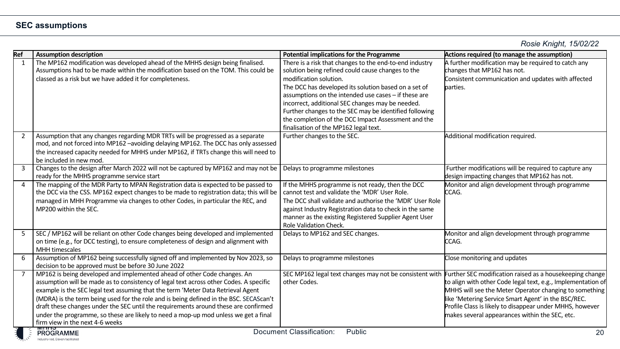*Rosie Knight, 15/02/22*

| Ref            | <b>Assumption description</b>                                                                                                                                                                                                                                                                                                                                                                                                                                                                                                                                                  | <b>Potential implications for the Programme</b>                                                                                                                                                                                                                                                                                                                                                                                                                      | Actions required (to manage the assumption)                                                                                                                                                                                                                                                                                                                                                                     |
|----------------|--------------------------------------------------------------------------------------------------------------------------------------------------------------------------------------------------------------------------------------------------------------------------------------------------------------------------------------------------------------------------------------------------------------------------------------------------------------------------------------------------------------------------------------------------------------------------------|----------------------------------------------------------------------------------------------------------------------------------------------------------------------------------------------------------------------------------------------------------------------------------------------------------------------------------------------------------------------------------------------------------------------------------------------------------------------|-----------------------------------------------------------------------------------------------------------------------------------------------------------------------------------------------------------------------------------------------------------------------------------------------------------------------------------------------------------------------------------------------------------------|
| 1              | The MP162 modification was developed ahead of the MHHS design being finalised.<br>Assumptions had to be made within the modification based on the TOM. This could be<br>classed as a risk but we have added it for completeness.                                                                                                                                                                                                                                                                                                                                               | There is a risk that changes to the end-to-end industry<br>solution being refined could cause changes to the<br>modification solution.<br>The DCC has developed its solution based on a set of<br>assumptions on the intended use cases - if these are<br>incorrect, additional SEC changes may be needed.<br>Further changes to the SEC may be identified following<br>the completion of the DCC Impact Assessment and the<br>finalisation of the MP162 legal text. | A further modification may be required to catch any<br>changes that MP162 has not.<br>Consistent communication and updates with affected<br>parties.                                                                                                                                                                                                                                                            |
| 2              | Assumption that any changes regarding MDR TRTs will be progressed as a separate<br>mod, and not forced into MP162 -avoiding delaying MP162. The DCC has only assessed<br>the increased capacity needed for MHHS under MP162, if TRTs change this will need to<br>be included in new mod.                                                                                                                                                                                                                                                                                       | Further changes to the SEC.                                                                                                                                                                                                                                                                                                                                                                                                                                          | Additional modification required.                                                                                                                                                                                                                                                                                                                                                                               |
| $\overline{3}$ | Changes to the design after March 2022 will not be captured by MP162 and may not be<br>ready for the MHHS programme service start                                                                                                                                                                                                                                                                                                                                                                                                                                              | Delays to programme milestones                                                                                                                                                                                                                                                                                                                                                                                                                                       | Further modifications will be required to capture any<br>design impacting changes that MP162 has not.                                                                                                                                                                                                                                                                                                           |
| 4              | The mapping of the MDR Party to MPAN Registration data is expected to be passed to<br>the DCC via the CSS. MP162 expect changes to be made to registration data; this will be<br>managed in MHH Programme via changes to other Codes, in particular the REC, and<br>MP200 within the SEC.                                                                                                                                                                                                                                                                                      | If the MHHS programme is not ready, then the DCC<br>cannot test and validate the 'MDR' User Role.<br>The DCC shall validate and authorise the 'MDR' User Role<br>against Industry Registration data to check in the same<br>manner as the existing Registered Supplier Agent User<br>Role Validation Check.                                                                                                                                                          | Monitor and align development through programme<br>CCAG.                                                                                                                                                                                                                                                                                                                                                        |
| 5              | SEC / MP162 will be reliant on other Code changes being developed and implemented<br>on time (e.g., for DCC testing), to ensure completeness of design and alignment with<br><b>MHH</b> timescales                                                                                                                                                                                                                                                                                                                                                                             | Delays to MP162 and SEC changes.                                                                                                                                                                                                                                                                                                                                                                                                                                     | Monitor and align development through programme<br>CCAG.                                                                                                                                                                                                                                                                                                                                                        |
| 6              | Assumption of MP162 being successfully signed off and implemented by Nov 2023, so<br>decision to be approved must be before 30 June 2022                                                                                                                                                                                                                                                                                                                                                                                                                                       | Delays to programme milestones                                                                                                                                                                                                                                                                                                                                                                                                                                       | Close monitoring and updates                                                                                                                                                                                                                                                                                                                                                                                    |
| $\overline{7}$ | MP162 is being developed and implemented ahead of other Code changes. An<br>assumption will be made as to consistency of legal text across other Codes. A specific<br>example is the SEC legal text assuming that the term 'Meter Data Retrieval Agent<br>(MDRA) is the term being used for the role and is being defined in the BSC. SECAScan't<br>draft these changes under the SEC until the requirements around these are confirmed<br>under the programme, so these are likely to need a mop-up mod unless we get a final<br>firm view in the next 4-6 weeks<br>טווויוויו | other Codes.<br>$D_n$ access and $D_{n,n}$ ; $f_{n,n}$ ; $f_{n,n}$<br>DL                                                                                                                                                                                                                                                                                                                                                                                             | SEC MP162 legal text changes may not be consistent with Further SEC modification raised as a housekeeping change<br>to align with other Code legal text, e.g., Implementation of<br>MHHS will see the Meter Operator changing to something<br>like 'Metering Service Smart Agent' in the BSC/REC.<br>Profile Class is likely to disappear under MHHS, however<br>makes several appearances within the SEC, etc. |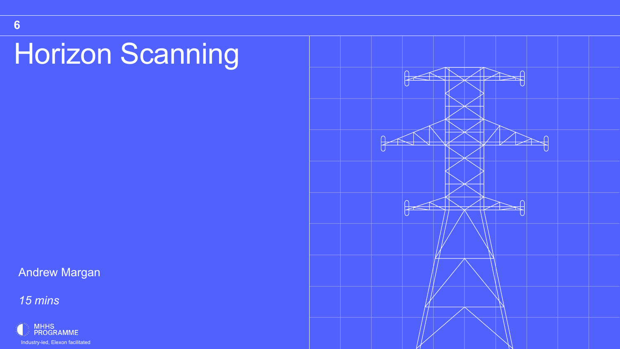## Horizon Scanning

Andrew Margan

*15 mins*



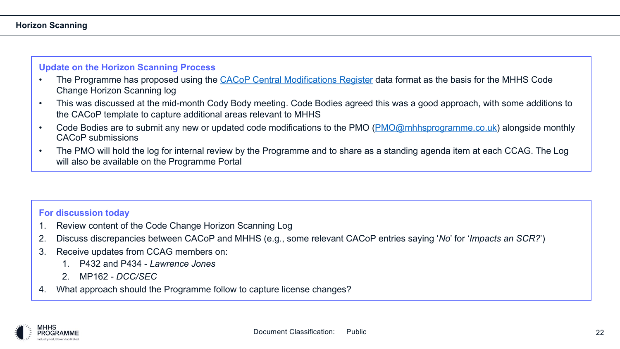#### **Horizon Scanning**

#### **Update on the Horizon Scanning Process**

- The Programme has proposed using the CACoP Central Modifications Register data Change Horizon Scanning log
- This was discussed at the mid-month Cody Body meeting. Code Bodies agreed this w the CACoP template to capture additional areas relevant to MHHS
- Code Bodies are to submit any new or updated code modifications to the PMO (PMO CACoP submissions
- The PMO will hold the log for internal review by the Programme and to share as a sta will also be available on the Programme Portal

#### **For discussion today**

- 1. Review content of the Code Change Horizon Scanning Log
- 2. Discuss discrepancies between CACoP and MHHS (e.g., some relevant CACoP entri
- 3. Receive updates from CCAG members on:
	- 1. P432 and P434 *Lawrence Jones*
	- 2. MP162 *DCC/SEC*
- 4. What approach should the Programme follow to capture license changes?

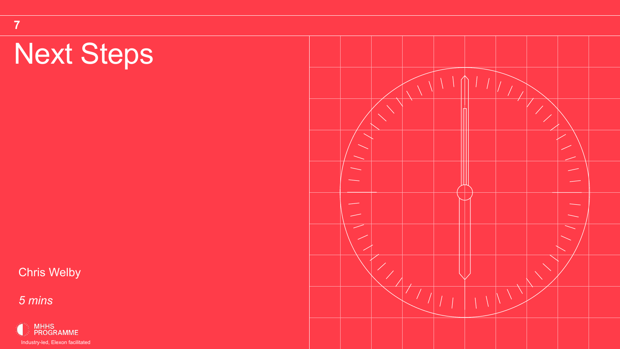## Next Steps

**7**

Chris Welby

*5 mins*



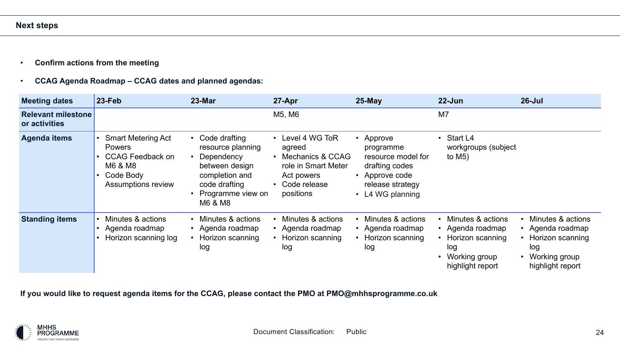- **Confirm actions from the meeting**
- **CCAG Agenda Roadmap – CCAG dates and planned agendas:**

| <b>Meeting dates</b>                       | $23$ -Feb                                                                                                                        | 23-Mar                                                                                                                                    | 27-Apr                                                                                                           | $25-May$                                                                                                                        | $22 - Jun$                                                                                            | $26 -$ Jul                                                                                                                      |  |  |
|--------------------------------------------|----------------------------------------------------------------------------------------------------------------------------------|-------------------------------------------------------------------------------------------------------------------------------------------|------------------------------------------------------------------------------------------------------------------|---------------------------------------------------------------------------------------------------------------------------------|-------------------------------------------------------------------------------------------------------|---------------------------------------------------------------------------------------------------------------------------------|--|--|
| <b>Relevant milestone</b><br>or activities |                                                                                                                                  |                                                                                                                                           | M5, M6                                                                                                           |                                                                                                                                 | M7                                                                                                    |                                                                                                                                 |  |  |
| <b>Agenda items</b>                        | <b>Smart Metering Act</b><br>$\bullet$<br><b>Powers</b><br><b>CCAG Feedback on</b><br>M6 & M8<br>Code Body<br>Assumptions review | • Code drafting<br>resource planning<br>Dependency<br>between design<br>completion and<br>code drafting<br>• Programme view on<br>M6 & M8 | Level 4 WG ToR<br>agreed<br>Mechanics & CCAG<br>role in Smart Meter<br>Act powers<br>• Code release<br>positions | Approve<br>programme<br>resource model for<br>drafting codes<br>Approve code<br>release strategy<br>L4 WG planning<br>$\bullet$ | • Start L4<br>workgroups (subject<br>to $M5$ )                                                        |                                                                                                                                 |  |  |
| <b>Standing items</b>                      | Minutes & actions<br>$\bullet$<br>• Agenda roadmap<br>Horizon scanning log                                                       | Minutes & actions<br>Agenda roadmap<br>Horizon scanning<br>log                                                                            | Minutes & actions<br>Agenda roadmap<br>Horizon scanning<br>log                                                   | Minutes & actions<br>Agenda roadmap<br>Horizon scanning<br>log                                                                  | Minutes & actions<br>• Agenda roadmap<br>Horizon scanning<br>log<br>Working group<br>highlight report | Minutes & actions<br>• Agenda roadmap<br>Horizon scanning<br>$\bullet$<br>log<br>Working group<br>$\bullet$<br>highlight report |  |  |

**If you would like to request agenda items for the CCAG, please contact the PMO at PMO@mhhsprogramme.co.uk**

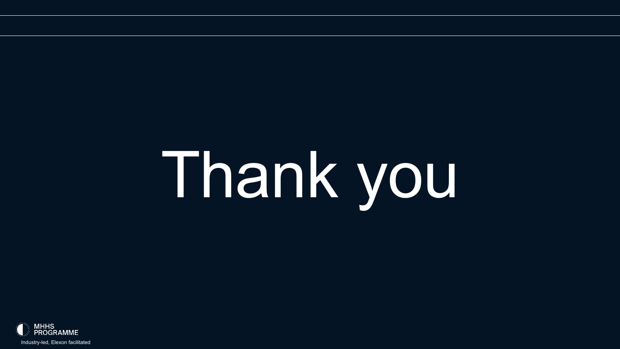# Thank you

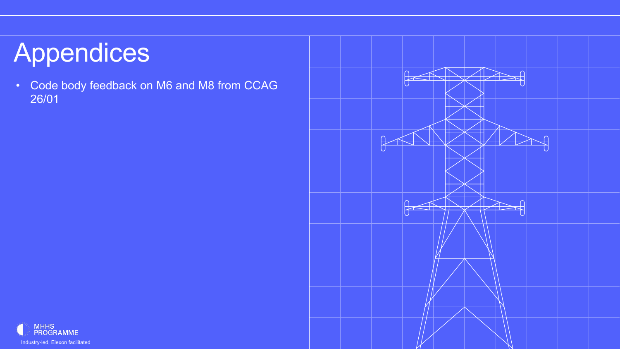## Appendices

• Code body feedback on M6 and M8 from CCAG 26/01



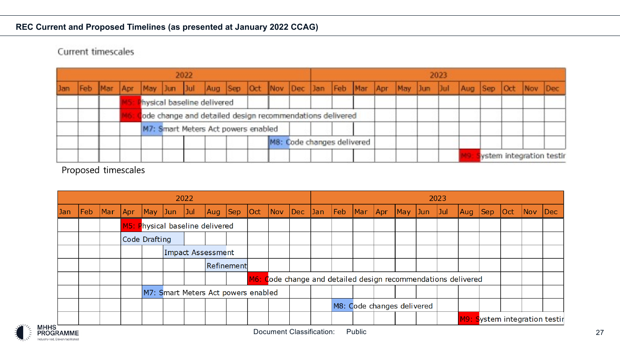#### **REC Current and Proposed Timelines (as presented at January 2022 CCAG)**

#### Current timescales

| 2022 |  |  |  |                                                          |                                     |  |  |  |  |  | 2023                       |  |  |  |  |  |  |  |                                                                                                 |  |  |  |                          |
|------|--|--|--|----------------------------------------------------------|-------------------------------------|--|--|--|--|--|----------------------------|--|--|--|--|--|--|--|-------------------------------------------------------------------------------------------------|--|--|--|--------------------------|
|      |  |  |  |                                                          |                                     |  |  |  |  |  |                            |  |  |  |  |  |  |  | Jan Feb Mar Apr May Jun Jul Aug Sep Oct Nov Dec Jan Feb Mar Apr May Jun Jul Aug Sep Oct Nov Dec |  |  |  |                          |
|      |  |  |  | hysical baseline delivered                               |                                     |  |  |  |  |  |                            |  |  |  |  |  |  |  |                                                                                                 |  |  |  |                          |
|      |  |  |  | ode change and detailed design recommendations delivered |                                     |  |  |  |  |  |                            |  |  |  |  |  |  |  |                                                                                                 |  |  |  |                          |
|      |  |  |  |                                                          | M7: Smart Meters Act powers enabled |  |  |  |  |  |                            |  |  |  |  |  |  |  |                                                                                                 |  |  |  |                          |
|      |  |  |  |                                                          |                                     |  |  |  |  |  | M8: Code changes delivered |  |  |  |  |  |  |  |                                                                                                 |  |  |  |                          |
|      |  |  |  |                                                          |                                     |  |  |  |  |  |                            |  |  |  |  |  |  |  |                                                                                                 |  |  |  | ystem integration testir |

Proposed timescales

| 2022       |                                     |         |                                 |                         |  |                   |                                             |  |  |  |  |  | 2023                       |  |  |  |  |         |                                                               |  |  |                                                     |                               |  |
|------------|-------------------------------------|---------|---------------------------------|-------------------------|--|-------------------|---------------------------------------------|--|--|--|--|--|----------------------------|--|--|--|--|---------|---------------------------------------------------------------|--|--|-----------------------------------------------------|-------------------------------|--|
| <b>Jan</b> | Feb                                 | Mar Apr |                                 | $\vert$ May $\vert$ Jun |  | Jul               | Aug Sep Oct Nov Dec Jan Feb Mar Apr May Jun |  |  |  |  |  |                            |  |  |  |  | $ $ Jul | Aug Sep Oct                                                   |  |  | $\overline{\textsf{Nov}}$ $\overline{\textsf{Dec}}$ |                               |  |
|            |                                     |         | M5: Physical baseline delivered |                         |  |                   |                                             |  |  |  |  |  |                            |  |  |  |  |         |                                                               |  |  |                                                     |                               |  |
|            |                                     |         | Code Drafting                   |                         |  |                   |                                             |  |  |  |  |  |                            |  |  |  |  |         |                                                               |  |  |                                                     |                               |  |
|            |                                     |         |                                 |                         |  | Impact Assessment |                                             |  |  |  |  |  |                            |  |  |  |  |         |                                                               |  |  |                                                     |                               |  |
|            |                                     |         |                                 |                         |  |                   | Refinement                                  |  |  |  |  |  |                            |  |  |  |  |         |                                                               |  |  |                                                     |                               |  |
|            |                                     |         |                                 |                         |  |                   |                                             |  |  |  |  |  |                            |  |  |  |  |         | M6: Code change and detailed design recommendations delivered |  |  |                                                     |                               |  |
|            | M7: Smart Meters Act powers enabled |         |                                 |                         |  |                   |                                             |  |  |  |  |  |                            |  |  |  |  |         |                                                               |  |  |                                                     |                               |  |
|            |                                     |         |                                 |                         |  |                   |                                             |  |  |  |  |  | M8: Code changes delivered |  |  |  |  |         |                                                               |  |  |                                                     |                               |  |
|            |                                     |         |                                 |                         |  |                   |                                             |  |  |  |  |  |                            |  |  |  |  |         |                                                               |  |  |                                                     | M9: System integration testir |  |

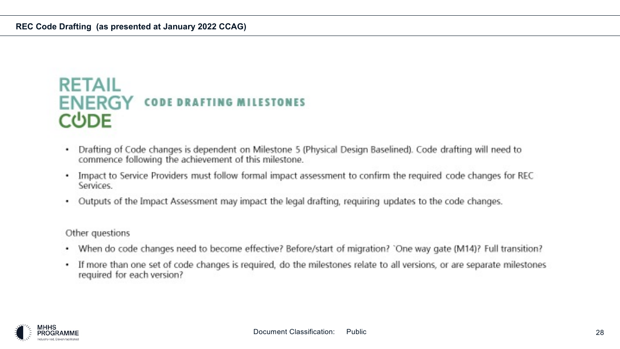### **RETAIL ENERGY CODE DRAFTING MILESTONES CUDE**

- Drafting of Code changes is dependent on Milestone 5 (Physical Design Baselined). Code drafting will need to commence following the achievement of this milestone.
- Impact to Service Providers must follow formal impact assessment to confirm the required code changes for REC ٠ Services.
- Outputs of the Impact Assessment may impact the legal drafting, requiring updates to the code changes.

Other questions

- When do code changes need to become effective? Before/start of migration? `One way gate (M14)? Full transition? ٠
- If more than one set of code changes is required, do the milestones relate to all versions, or are separate milestones ٠ required for each version?

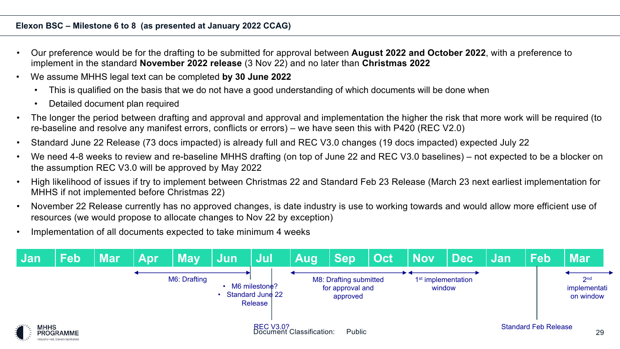#### **Elexon BSC – Milestone 6 to 8 (as presented at January 2022 CCAG)**

- Our preference would be for the drafting to be submitted for approval between **August 2022 and October 2022**, with a preference to implement in the standard **November 2022 release** (3 Nov 22) and no later than **Christmas 2022**
- We assume MHHS legal text can be completed **by 30 June 2022**
	- This is qualified on the basis that we do not have a good understanding of which documents will be done when
	- Detailed document plan required
- The longer the period between drafting and approval and approval and implementation the higher the risk that more work will be required (to re-baseline and resolve any manifest errors, conflicts or errors) – we have seen this with P420 (REC V2.0)
- Standard June 22 Release (73 docs impacted) is already full and REC V3.0 changes (19 docs impacted) expected July 22
- We need 4-8 weeks to review and re-baseline MHHS drafting (on top of June 22 and REC V3.0 baselines) not expected to be a blocker on the assumption REC V3.0 will be approved by May 2022
- High likelihood of issues if try to implement between Christmas 22 and Standard Feb 23 Release (March 23 next earliest implementation for MHHS if not implemented before Christmas 22)
- November 22 Release currently has no approved changes, is date industry is use to working towards and would allow more efficient use of resources (we would propose to allocate changes to Nov 22 by exception)
- Implementation of all documents expected to take minimum 4 weeks